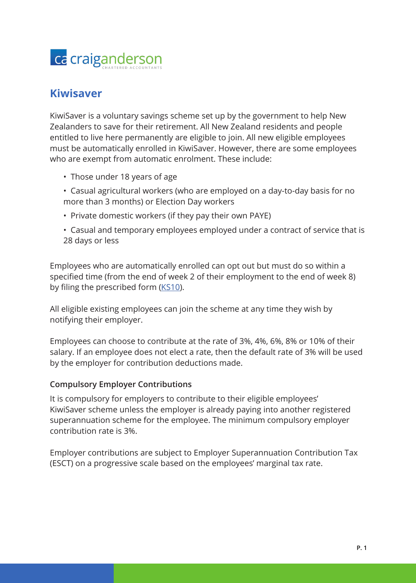

## **Kiwisaver**

KiwiSaver is a voluntary savings scheme set up by the government to help New Zealanders to save for their retirement. All New Zealand residents and people entitled to live here permanently are eligible to join. All new eligible employees must be automatically enrolled in KiwiSaver. However, there are some employees who are exempt from automatic enrolment. These include:

- Those under 18 years of age
- Casual agricultural workers (who are employed on a day-to-day basis for no more than 3 months) or Election Day workers
- Private domestic workers (if they pay their own PAYE)
- Casual and temporary employees employed under a contract of service that is 28 days or less

Employees who are automatically enrolled can opt out but must do so within a specified time (from the end of week 2 of their employment to the end of week 8) by filing the prescribed form ([KS10\)](https://www.ird.govt.nz/kiwisaver/kiwisaver-employers/employees-who-want-to-opt-out-of-kiwisaver/opt-a-new-employee-out-of-kiwisaver).

All eligible existing employees can join the scheme at any time they wish by notifying their employer.

Employees can choose to contribute at the rate of 3%, 4%, 6%, 8% or 10% of their salary. If an employee does not elect a rate, then the default rate of 3% will be used by the employer for contribution deductions made.

## **Compulsory Employer Contributions**

It is compulsory for employers to contribute to their eligible employees' KiwiSaver scheme unless the employer is already paying into another registered superannuation scheme for the employee. The minimum compulsory employer contribution rate is 3%.

Employer contributions are subject to Employer Superannuation Contribution Tax (ESCT) on a progressive scale based on the employees' marginal tax rate.